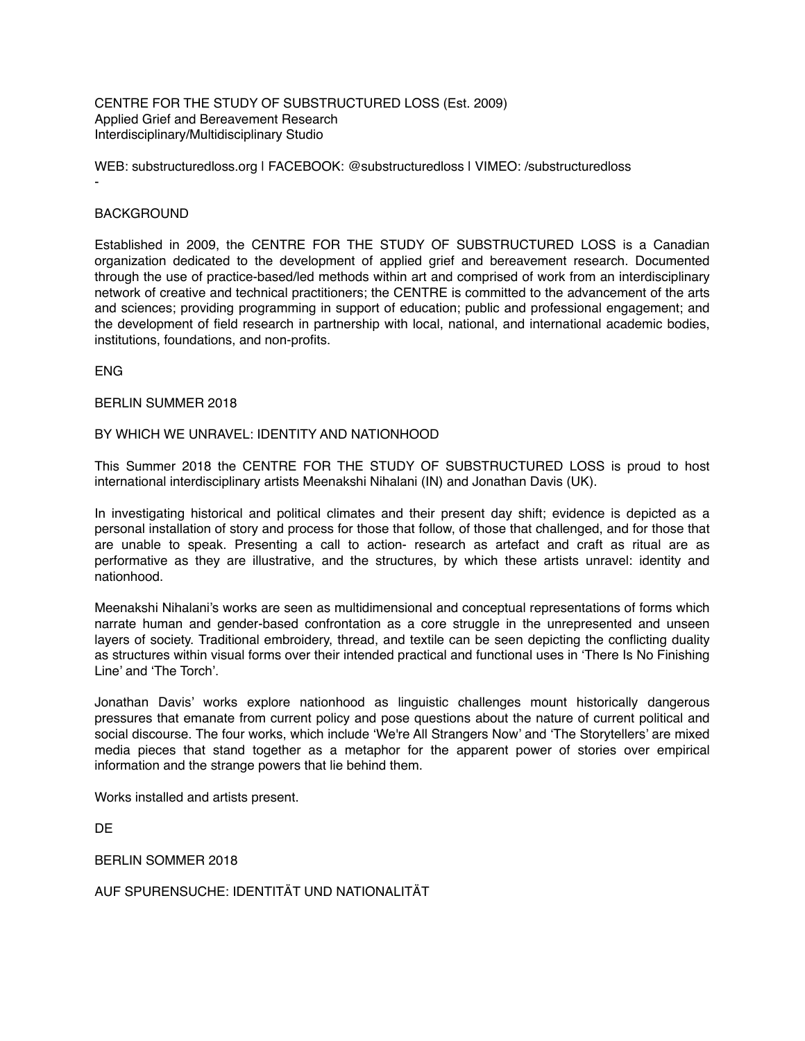CENTRE FOR THE STUDY OF SUBSTRUCTURED LOSS (Est. 2009) Applied Grief and Bereavement Research Interdisciplinary/Multidisciplinary Studio

WEB: [substructuredloss.org](http://www.substructuredloss.org/) | FACEBOOK: @substructuredloss | VIMEO: /substructuredloss -

# **BACKGROUND**

Established in 2009, the CENTRE FOR THE STUDY OF SUBSTRUCTURED LOSS is a Canadian organization dedicated to the development of applied grief and bereavement research. Documented through the use of practice-based/led methods within art and comprised of work from an interdisciplinary network of creative and technical practitioners; the CENTRE is committed to the advancement of the arts and sciences; providing programming in support of education; public and professional engagement; and the development of field research in partnership with local, national, and international academic bodies, institutions, foundations, and non-profits.

ENG

#### BERLIN SUMMER 2018

## BY WHICH WE UNRAVEL: IDENTITY AND NATIONHOOD

This Summer 2018 the CENTRE FOR THE STUDY OF SUBSTRUCTURED LOSS is proud to host international interdisciplinary artists Meenakshi Nihalani (IN) and Jonathan Davis (UK).

In investigating historical and political climates and their present day shift; evidence is depicted as a personal installation of story and process for those that follow, of those that challenged, and for those that are unable to speak. Presenting a call to action- research as artefact and craft as ritual are as performative as they are illustrative, and the structures, by which these artists unravel: identity and nationhood.

Meenakshi Nihalani's works are seen as multidimensional and conceptual representations of forms which narrate human and gender-based confrontation as a core struggle in the unrepresented and unseen layers of society. Traditional embroidery, thread, and textile can be seen depicting the conflicting duality as structures within visual forms over their intended practical and functional uses in 'There Is No Finishing Line' and 'The Torch'.

Jonathan Davis' works explore nationhood as linguistic challenges mount historically dangerous pressures that emanate from current policy and pose questions about the nature of current political and social discourse. The four works, which include 'We're All Strangers Now' and 'The Storytellers' are mixed media pieces that stand together as a metaphor for the apparent power of stories over empirical information and the strange powers that lie behind them.

Works installed and artists present.

DE

BERLIN SOMMER 2018

AUF SPURENSUCHE: IDENTITÄT UND NATIONALITÄT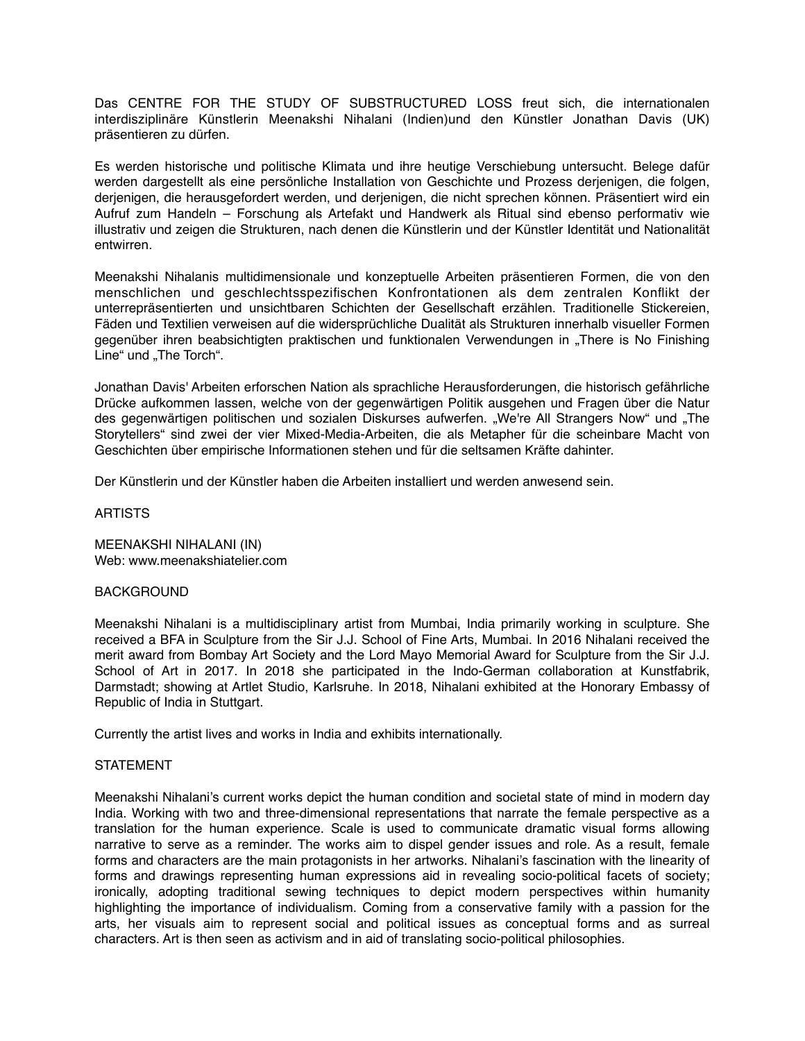Das CENTRE FOR THE STUDY OF SUBSTRUCTURED LOSS freut sich, die internationalen interdisziplinäre Künstlerin Meenakshi Nihalani (Indien)und den Künstler Jonathan Davis (UK) präsentieren zu dürfen.

Es werden historische und politische Klimata und ihre heutige Verschiebung untersucht. Belege dafür werden dargestellt als eine persönliche Installation von Geschichte und Prozess derjenigen, die folgen, derjenigen, die herausgefordert werden, und derjenigen, die nicht sprechen können. Präsentiert wird ein Aufruf zum Handeln – Forschung als Artefakt und Handwerk als Ritual sind ebenso performativ wie illustrativ und zeigen die Strukturen, nach denen die Künstlerin und der Künstler Identität und Nationalität entwirren.

Meenakshi Nihalanis multidimensionale und konzeptuelle Arbeiten präsentieren Formen, die von den menschlichen und geschlechtsspezifischen Konfrontationen als dem zentralen Konflikt der unterrepräsentierten und unsichtbaren Schichten der Gesellschaft erzählen. Traditionelle Stickereien, Fäden und Textilien verweisen auf die widersprüchliche Dualität als Strukturen innerhalb visueller Formen gegenüber ihren beabsichtigten praktischen und funktionalen Verwendungen in "There is No Finishing Line" und "The Torch".

Jonathan Davis' Arbeiten erforschen Nation als sprachliche Herausforderungen, die historisch gefährliche Drücke aufkommen lassen, welche von der gegenwärtigen Politik ausgehen und Fragen über die Natur des gegenwärtigen politischen und sozialen Diskurses aufwerfen. "We're All Strangers Now" und "The Storytellers" sind zwei der vier Mixed-Media-Arbeiten, die als Metapher für die scheinbare Macht von Geschichten über empirische Informationen stehen und für die seltsamen Kräfte dahinter.

Der Künstlerin und der Künstler haben die Arbeiten installiert und werden anwesend sein.

## ARTISTS

MEENAKSHI NIHALANI (IN) Web: www.meenakshiatelier.com

#### BACKGROUND

Meenakshi Nihalani is a multidisciplinary artist from Mumbai, India primarily working in sculpture. She received a BFA in Sculpture from the Sir J.J. School of Fine Arts, Mumbai. In 2016 Nihalani received the merit award from Bombay Art Society and the Lord Mayo Memorial Award for Sculpture from the Sir J.J. School of Art in 2017. In 2018 she participated in the Indo-German collaboration at Kunstfabrik, Darmstadt; showing at Artlet Studio, Karlsruhe. In 2018, Nihalani exhibited at the Honorary Embassy of Republic of India in Stuttgart.

Currently the artist lives and works in India and exhibits internationally.

#### **STATEMENT**

Meenakshi Nihalani's current works depict the human condition and societal state of mind in modern day India. Working with two and three-dimensional representations that narrate the female perspective as a translation for the human experience. Scale is used to communicate dramatic visual forms allowing narrative to serve as a reminder. The works aim to dispel gender issues and role. As a result, female forms and characters are the main protagonists in her artworks. Nihalani's fascination with the linearity of forms and drawings representing human expressions aid in revealing socio-political facets of society; ironically, adopting traditional sewing techniques to depict modern perspectives within humanity highlighting the importance of individualism. Coming from a conservative family with a passion for the arts, her visuals aim to represent social and political issues as conceptual forms and as surreal characters. Art is then seen as activism and in aid of translating socio-political philosophies.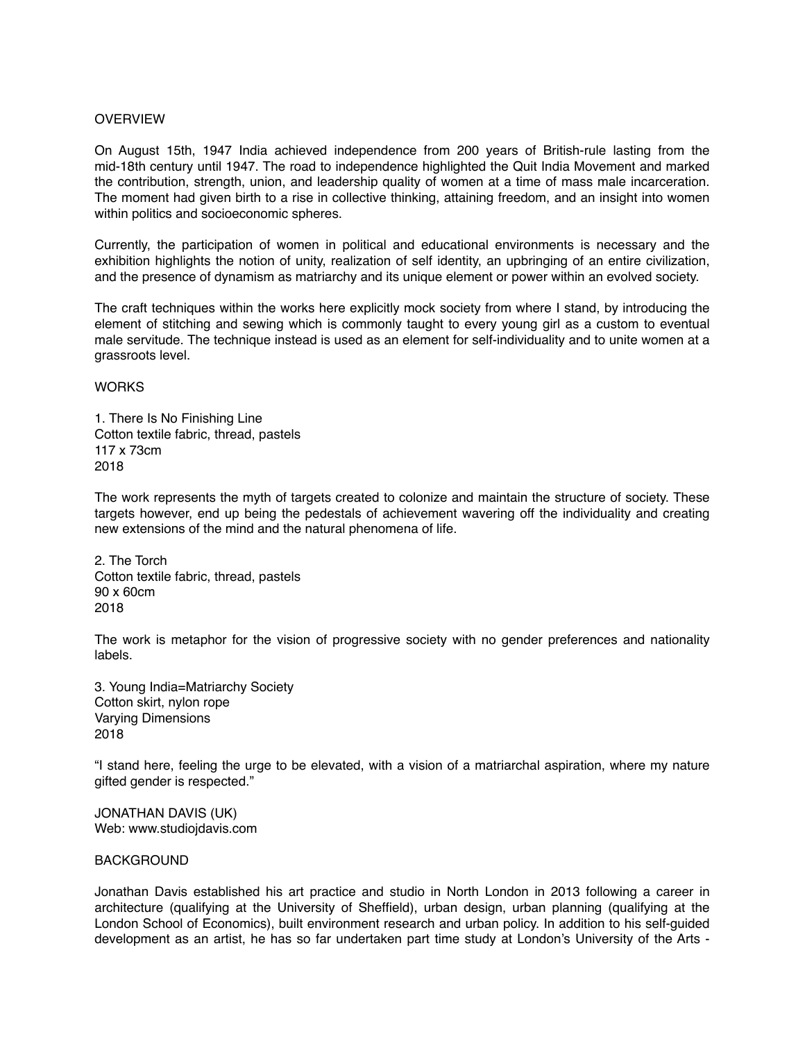## **OVERVIEW**

On August 15th, 1947 India achieved independence from 200 years of British-rule lasting from the mid-18th century until 1947. The road to independence highlighted the Quit India Movement and marked the contribution, strength, union, and leadership quality of women at a time of mass male incarceration. The moment had given birth to a rise in collective thinking, attaining freedom, and an insight into women within politics and socioeconomic spheres.

Currently, the participation of women in political and educational environments is necessary and the exhibition highlights the notion of unity, realization of self identity, an upbringing of an entire civilization, and the presence of dynamism as matriarchy and its unique element or power within an evolved society.

The craft techniques within the works here explicitly mock society from where I stand, by introducing the element of stitching and sewing which is commonly taught to every young girl as a custom to eventual male servitude. The technique instead is used as an element for self-individuality and to unite women at a grassroots level.

**WORKS** 

1. There Is No Finishing Line Cotton textile fabric, thread, pastels 117 x 73cm 2018

The work represents the myth of targets created to colonize and maintain the structure of society. These targets however, end up being the pedestals of achievement wavering off the individuality and creating new extensions of the mind and the natural phenomena of life.

2. The Torch Cotton textile fabric, thread, pastels 90 x 60cm 2018

The work is metaphor for the vision of progressive society with no gender preferences and nationality labels.

3. Young India=Matriarchy Society Cotton skirt, nylon rope Varying Dimensions 2018

"I stand here, feeling the urge to be elevated, with a vision of a matriarchal aspiration, where my nature gifted gender is respected."

JONATHAN DAVIS (UK) Web: www.studiojdavis.com

## BACKGROUND

Jonathan Davis established his art practice and studio in North London in 2013 following a career in architecture (qualifying at the University of Sheffield), urban design, urban planning (qualifying at the London School of Economics), built environment research and urban policy. In addition to his self-guided development as an artist, he has so far undertaken part time study at London's University of the Arts -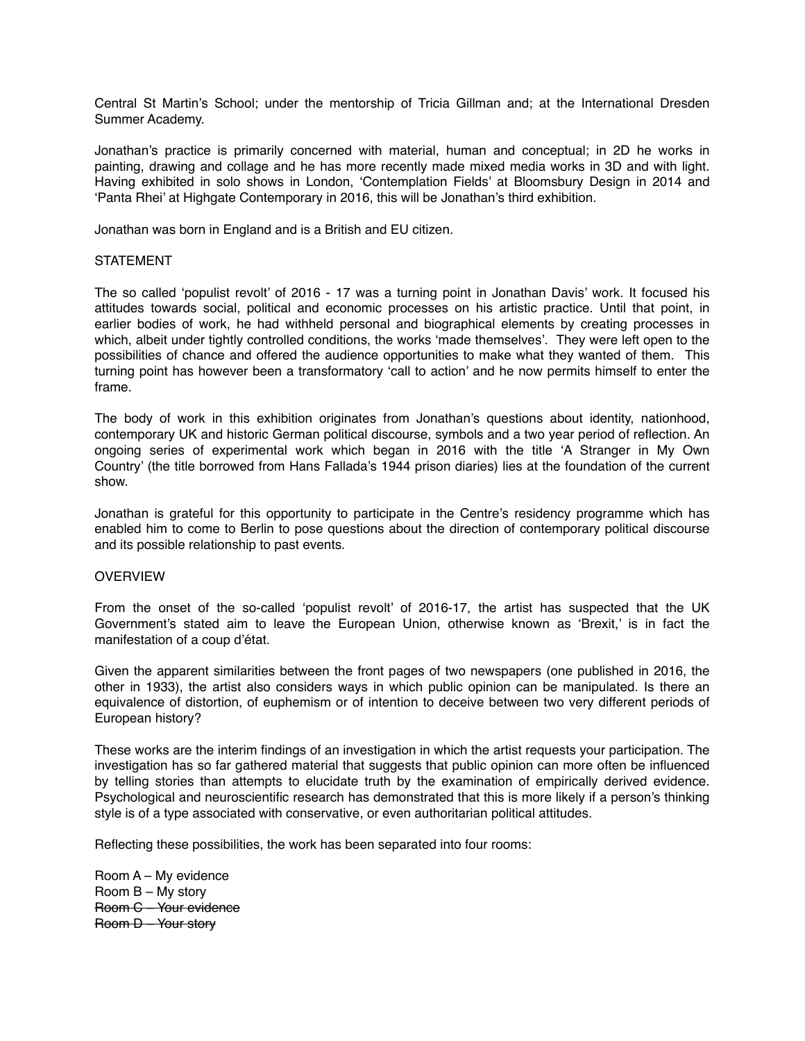Central St Martin's School; under the mentorship of Tricia Gillman and; at the International Dresden Summer Academy.

Jonathan's practice is primarily concerned with material, human and conceptual; in 2D he works in painting, drawing and collage and he has more recently made mixed media works in 3D and with light. Having exhibited in solo shows in London, 'Contemplation Fields' at Bloomsbury Design in 2014 and 'Panta Rhei' at Highgate Contemporary in 2016, this will be Jonathan's third exhibition.

Jonathan was born in England and is a British and EU citizen.

## **STATEMENT**

The so called 'populist revolt' of 2016 - 17 was a turning point in Jonathan Davis' work. It focused his attitudes towards social, political and economic processes on his artistic practice. Until that point, in earlier bodies of work, he had withheld personal and biographical elements by creating processes in which, albeit under tightly controlled conditions, the works 'made themselves'. They were left open to the possibilities of chance and offered the audience opportunities to make what they wanted of them. This turning point has however been a transformatory 'call to action' and he now permits himself to enter the frame.

The body of work in this exhibition originates from Jonathan's questions about identity, nationhood, contemporary UK and historic German political discourse, symbols and a two year period of reflection. An ongoing series of experimental work which began in 2016 with the title 'A Stranger in My Own Country' (the title borrowed from Hans Fallada's 1944 prison diaries) lies at the foundation of the current show.

Jonathan is grateful for this opportunity to participate in the Centre's residency programme which has enabled him to come to Berlin to pose questions about the direction of contemporary political discourse and its possible relationship to past events.

## **OVERVIEW**

From the onset of the so-called 'populist revolt' of 2016-17, the artist has suspected that the UK Government's stated aim to leave the European Union, otherwise known as 'Brexit,' is in fact the manifestation of a coup d'état.

Given the apparent similarities between the front pages of two newspapers (one published in 2016, the other in 1933), the artist also considers ways in which public opinion can be manipulated. Is there an equivalence of distortion, of euphemism or of intention to deceive between two very different periods of European history?

These works are the interim findings of an investigation in which the artist requests your participation. The investigation has so far gathered material that suggests that public opinion can more often be influenced by telling stories than attempts to elucidate truth by the examination of empirically derived evidence. Psychological and neuroscientific research has demonstrated that this is more likely if a person's thinking style is of a type associated with conservative, or even authoritarian political attitudes.

Reflecting these possibilities, the work has been separated into four rooms:

Room A – My evidence Room B – My story Room C – Your evidence Room D – Your story